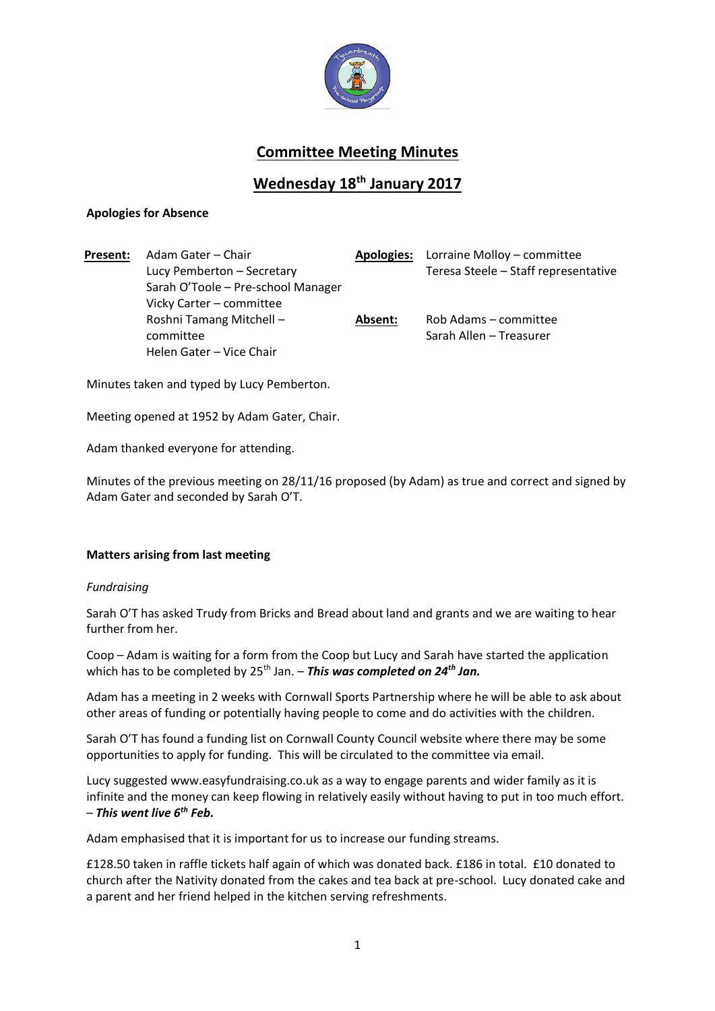

# **Committee Meeting Minutes**

## **Wednesday 18th January 2017**

## **Apologies for Absence**

**Present:** Adam Gater – Chair **Apologies:** Lorraine Molloy – committee Lucy Pemberton – Secretary Teresa Steele – Staff representative Sarah O'Toole – Pre-school Manager Vicky Carter – committee Roshni Tamang Mitchell – committee **Absent:** Rob Adams – committee Sarah Allen – Treasurer Helen Gater – Vice Chair

Minutes taken and typed by Lucy Pemberton.

Meeting opened at 1952 by Adam Gater, Chair.

Adam thanked everyone for attending.

Minutes of the previous meeting on 28/11/16 proposed (by Adam) as true and correct and signed by Adam Gater and seconded by Sarah O'T.

## **Matters arising from last meeting**

#### *Fundraising*

Sarah O'T has asked Trudy from Bricks and Bread about land and grants and we are waiting to hear further from her.

Coop – Adam is waiting for a form from the Coop but Lucy and Sarah have started the application which has to be completed by 25<sup>th</sup> Jan. – **This was completed on 24<sup>th</sup> Jan.** 

Adam has a meeting in 2 weeks with Cornwall Sports Partnership where he will be able to ask about other areas of funding or potentially having people to come and do activities with the children.

Sarah O'T has found a funding list on Cornwall County Council website where there may be some opportunities to apply for funding. This will be circulated to the committee via email.

Lucy suggested www.easyfundraising.co.uk as a way to engage parents and wider family as it is infinite and the money can keep flowing in relatively easily without having to put in too much effort. – *This went live 6th Feb.*

Adam emphasised that it is important for us to increase our funding streams.

£128.50 taken in raffle tickets half again of which was donated back. £186 in total. £10 donated to church after the Nativity donated from the cakes and tea back at pre-school. Lucy donated cake and a parent and her friend helped in the kitchen serving refreshments.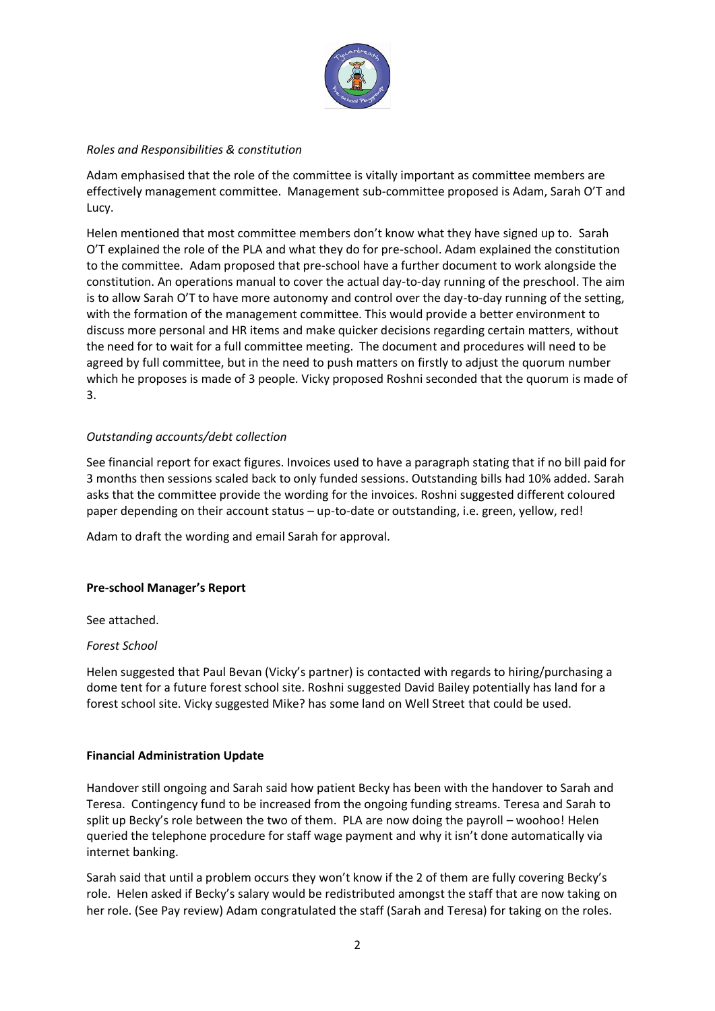

## *Roles and Responsibilities & constitution*

Adam emphasised that the role of the committee is vitally important as committee members are effectively management committee. Management sub-committee proposed is Adam, Sarah O'T and Lucy.

Helen mentioned that most committee members don't know what they have signed up to. Sarah O'T explained the role of the PLA and what they do for pre-school. Adam explained the constitution to the committee. Adam proposed that pre-school have a further document to work alongside the constitution. An operations manual to cover the actual day-to-day running of the preschool. The aim is to allow Sarah O'T to have more autonomy and control over the day-to-day running of the setting, with the formation of the management committee. This would provide a better environment to discuss more personal and HR items and make quicker decisions regarding certain matters, without the need for to wait for a full committee meeting. The document and procedures will need to be agreed by full committee, but in the need to push matters on firstly to adjust the quorum number which he proposes is made of 3 people. Vicky proposed Roshni seconded that the quorum is made of 3.

## *Outstanding accounts/debt collection*

See financial report for exact figures. Invoices used to have a paragraph stating that if no bill paid for 3 months then sessions scaled back to only funded sessions. Outstanding bills had 10% added. Sarah asks that the committee provide the wording for the invoices. Roshni suggested different coloured paper depending on their account status – up-to-date or outstanding, i.e. green, yellow, red!

Adam to draft the wording and email Sarah for approval.

#### **Pre-school Manager's Report**

See attached.

#### *Forest School*

Helen suggested that Paul Bevan (Vicky's partner) is contacted with regards to hiring/purchasing a dome tent for a future forest school site. Roshni suggested David Bailey potentially has land for a forest school site. Vicky suggested Mike? has some land on Well Street that could be used.

#### **Financial Administration Update**

Handover still ongoing and Sarah said how patient Becky has been with the handover to Sarah and Teresa. Contingency fund to be increased from the ongoing funding streams. Teresa and Sarah to split up Becky's role between the two of them. PLA are now doing the payroll – woohoo! Helen queried the telephone procedure for staff wage payment and why it isn't done automatically via internet banking.

Sarah said that until a problem occurs they won't know if the 2 of them are fully covering Becky's role. Helen asked if Becky's salary would be redistributed amongst the staff that are now taking on her role. (See Pay review) Adam congratulated the staff (Sarah and Teresa) for taking on the roles.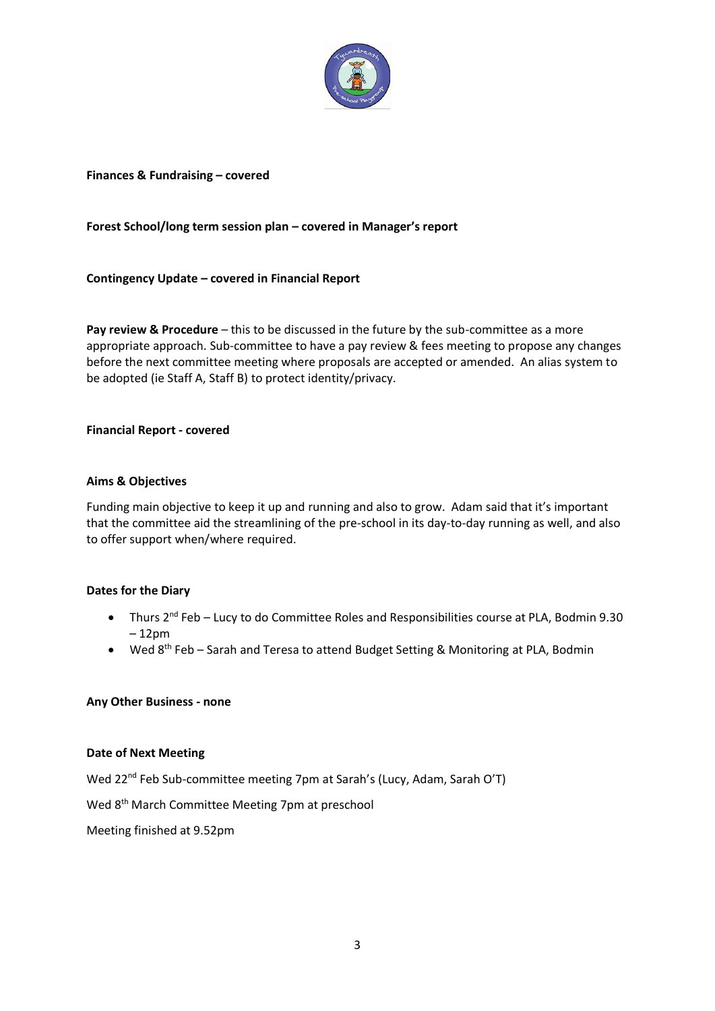

### **Finances & Fundraising – covered**

## **Forest School/long term session plan – covered in Manager's report**

**Contingency Update – covered in Financial Report** 

**Pay review & Procedure** – this to be discussed in the future by the sub-committee as a more appropriate approach. Sub-committee to have a pay review & fees meeting to propose any changes before the next committee meeting where proposals are accepted or amended. An alias system to be adopted (ie Staff A, Staff B) to protect identity/privacy.

#### **Financial Report - covered**

#### **Aims & Objectives**

Funding main objective to keep it up and running and also to grow. Adam said that it's important that the committee aid the streamlining of the pre-school in its day-to-day running as well, and also to offer support when/where required.

#### **Dates for the Diary**

- Thurs 2<sup>nd</sup> Feb Lucy to do Committee Roles and Responsibilities course at PLA, Bodmin 9.30 – 12pm
- Wed 8<sup>th</sup> Feb Sarah and Teresa to attend Budget Setting & Monitoring at PLA, Bodmin

#### **Any Other Business - none**

#### **Date of Next Meeting**

Wed 22nd Feb Sub-committee meeting 7pm at Sarah's (Lucy, Adam, Sarah O'T)

Wed 8th March Committee Meeting 7pm at preschool

Meeting finished at 9.52pm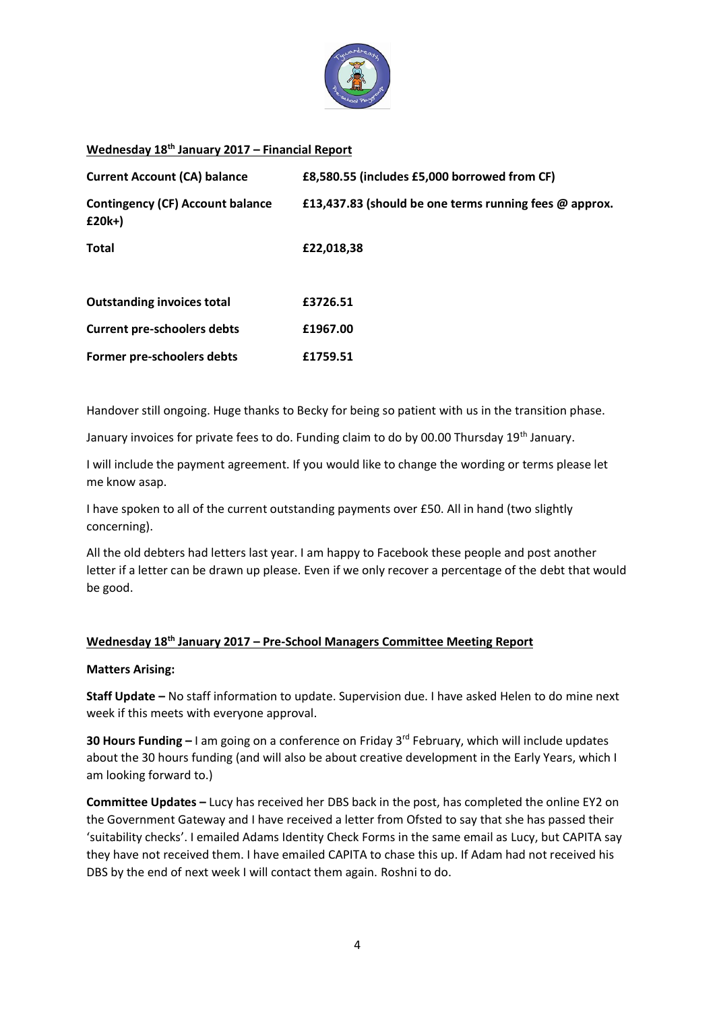

## **Wednesday 18th January 2017 – Financial Report**

| <b>Current Account (CA) balance</b>                 | £8,580.55 (includes £5,000 borrowed from CF)           |  |  |
|-----------------------------------------------------|--------------------------------------------------------|--|--|
| <b>Contingency (CF) Account balance</b><br>$£20k+)$ | £13,437.83 (should be one terms running fees @ approx. |  |  |
| <b>Total</b>                                        | £22,018,38                                             |  |  |
| <b>Outstanding invoices total</b>                   | £3726.51                                               |  |  |
| <b>Current pre-schoolers debts</b>                  | £1967.00                                               |  |  |
| Former pre-schoolers debts                          | £1759.51                                               |  |  |

Handover still ongoing. Huge thanks to Becky for being so patient with us in the transition phase.

January invoices for private fees to do. Funding claim to do by 00.00 Thursday 19<sup>th</sup> January.

I will include the payment agreement. If you would like to change the wording or terms please let me know asap.

I have spoken to all of the current outstanding payments over £50. All in hand (two slightly concerning).

All the old debters had letters last year. I am happy to Facebook these people and post another letter if a letter can be drawn up please. Even if we only recover a percentage of the debt that would be good.

### **Wednesday 18th January 2017 – Pre-School Managers Committee Meeting Report**

#### **Matters Arising:**

**Staff Update –** No staff information to update. Supervision due. I have asked Helen to do mine next week if this meets with everyone approval.

**30 Hours Funding –** I am going on a conference on Friday 3rd February, which will include updates about the 30 hours funding (and will also be about creative development in the Early Years, which I am looking forward to.)

**Committee Updates –** Lucy has received her DBS back in the post, has completed the online EY2 on the Government Gateway and I have received a letter from Ofsted to say that she has passed their 'suitability checks'. I emailed Adams Identity Check Forms in the same email as Lucy, but CAPITA say they have not received them. I have emailed CAPITA to chase this up. If Adam had not received his DBS by the end of next week I will contact them again. Roshni to do.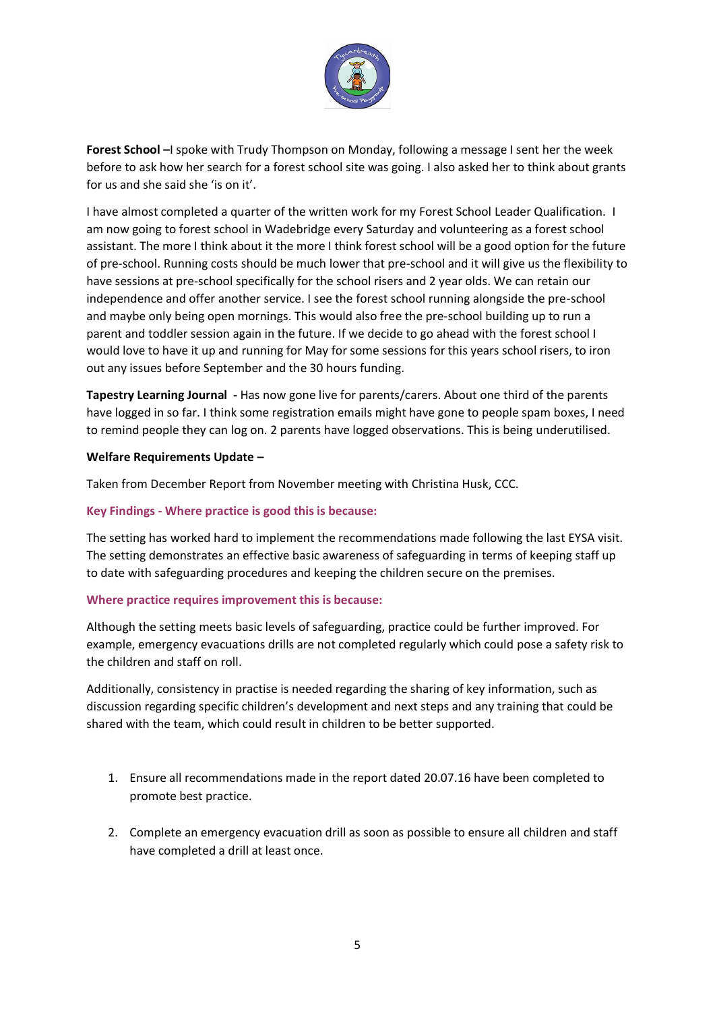

**Forest School –**I spoke with Trudy Thompson on Monday, following a message I sent her the week before to ask how her search for a forest school site was going. I also asked her to think about grants for us and she said she 'is on it'.

I have almost completed a quarter of the written work for my Forest School Leader Qualification. I am now going to forest school in Wadebridge every Saturday and volunteering as a forest school assistant. The more I think about it the more I think forest school will be a good option for the future of pre-school. Running costs should be much lower that pre-school and it will give us the flexibility to have sessions at pre-school specifically for the school risers and 2 year olds. We can retain our independence and offer another service. I see the forest school running alongside the pre-school and maybe only being open mornings. This would also free the pre-school building up to run a parent and toddler session again in the future. If we decide to go ahead with the forest school I would love to have it up and running for May for some sessions for this years school risers, to iron out any issues before September and the 30 hours funding.

**Tapestry Learning Journal -** Has now gone live for parents/carers. About one third of the parents have logged in so far. I think some registration emails might have gone to people spam boxes, I need to remind people they can log on. 2 parents have logged observations. This is being underutilised.

## **Welfare Requirements Update –**

Taken from December Report from November meeting with Christina Husk, CCC.

#### **Key Findings - Where practice is good this is because:**

The setting has worked hard to implement the recommendations made following the last EYSA visit. The setting demonstrates an effective basic awareness of safeguarding in terms of keeping staff up to date with safeguarding procedures and keeping the children secure on the premises.

#### **Where practice requires improvement this is because:**

Although the setting meets basic levels of safeguarding, practice could be further improved. For example, emergency evacuations drills are not completed regularly which could pose a safety risk to the children and staff on roll.

Additionally, consistency in practise is needed regarding the sharing of key information, such as discussion regarding specific children's development and next steps and any training that could be shared with the team, which could result in children to be better supported.

- 1. Ensure all recommendations made in the report dated 20.07.16 have been completed to promote best practice.
- 2. Complete an emergency evacuation drill as soon as possible to ensure all children and staff have completed a drill at least once.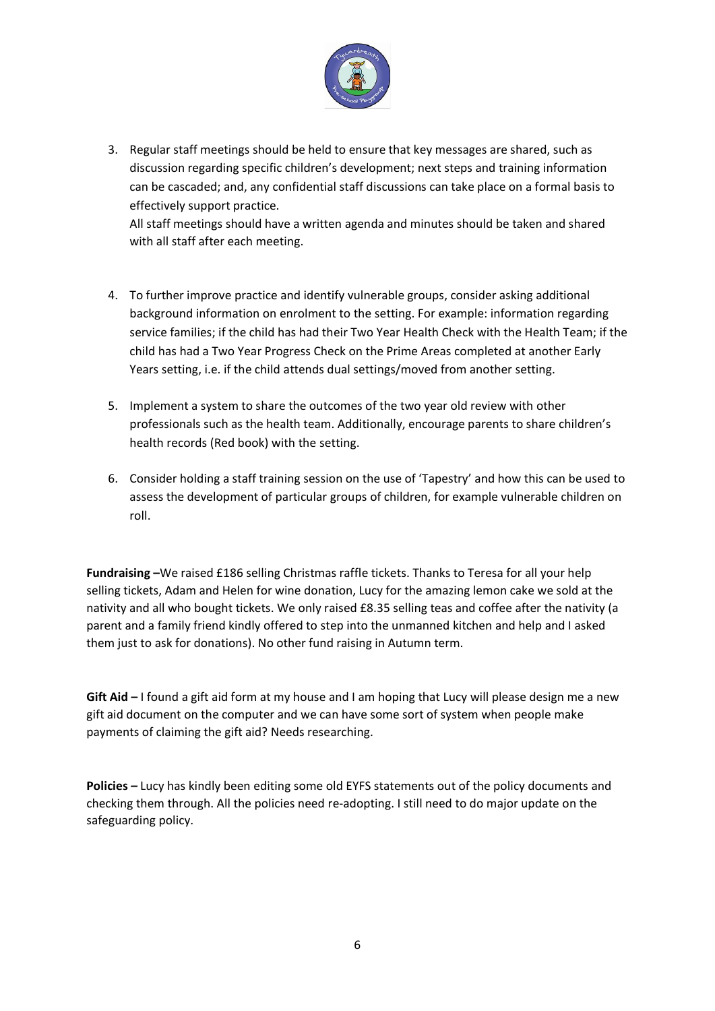

3. Regular staff meetings should be held to ensure that key messages are shared, such as discussion regarding specific children's development; next steps and training information can be cascaded; and, any confidential staff discussions can take place on a formal basis to effectively support practice.

All staff meetings should have a written agenda and minutes should be taken and shared with all staff after each meeting.

- 4. To further improve practice and identify vulnerable groups, consider asking additional background information on enrolment to the setting. For example: information regarding service families; if the child has had their Two Year Health Check with the Health Team; if the child has had a Two Year Progress Check on the Prime Areas completed at another Early Years setting, i.e. if the child attends dual settings/moved from another setting.
- 5. Implement a system to share the outcomes of the two year old review with other professionals such as the health team. Additionally, encourage parents to share children's health records (Red book) with the setting.
- 6. Consider holding a staff training session on the use of 'Tapestry' and how this can be used to assess the development of particular groups of children, for example vulnerable children on roll.

**Fundraising –**We raised £186 selling Christmas raffle tickets. Thanks to Teresa for all your help selling tickets, Adam and Helen for wine donation, Lucy for the amazing lemon cake we sold at the nativity and all who bought tickets. We only raised £8.35 selling teas and coffee after the nativity (a parent and a family friend kindly offered to step into the unmanned kitchen and help and I asked them just to ask for donations). No other fund raising in Autumn term.

**Gift Aid –** I found a gift aid form at my house and I am hoping that Lucy will please design me a new gift aid document on the computer and we can have some sort of system when people make payments of claiming the gift aid? Needs researching.

**Policies –** Lucy has kindly been editing some old EYFS statements out of the policy documents and checking them through. All the policies need re-adopting. I still need to do major update on the safeguarding policy.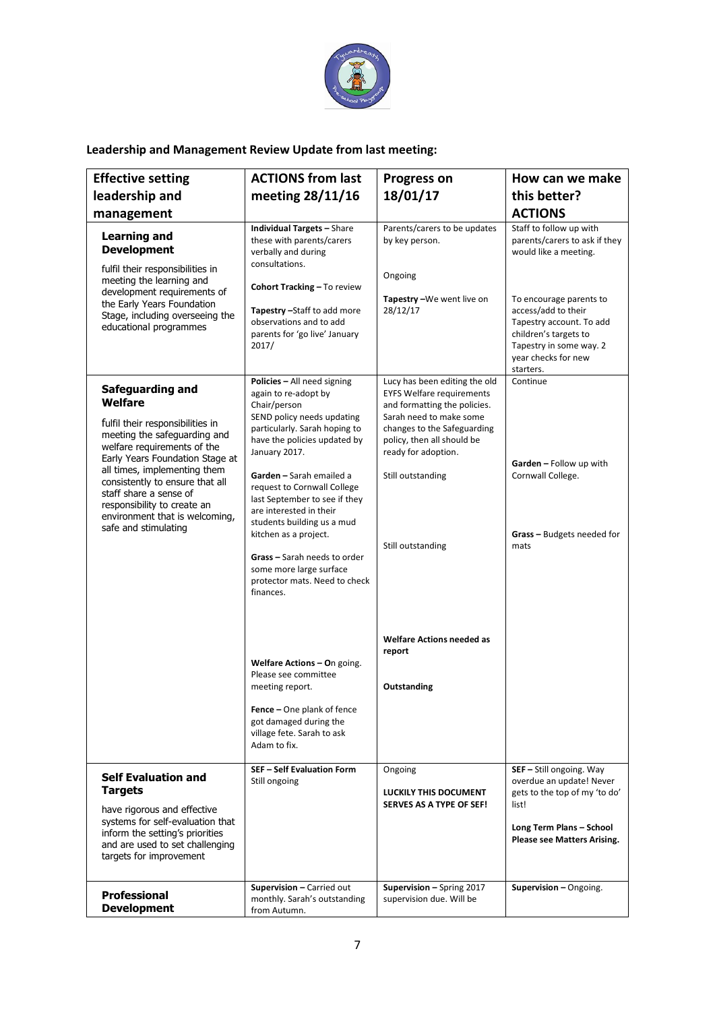

## **Leadership and Management Review Update from last meeting:**

| <b>Effective setting</b>                                                                                                                                                                                                                                                                                                                                       | <b>ACTIONS from last</b>                                                                                                                                                                                                                                                                                                                                                                                                                                                                                                                                                                                                                                          | <b>Progress on</b>                                                                                                                                                                                                                                                                                                      | How can we make                                                                                                                                                                                                                                         |
|----------------------------------------------------------------------------------------------------------------------------------------------------------------------------------------------------------------------------------------------------------------------------------------------------------------------------------------------------------------|-------------------------------------------------------------------------------------------------------------------------------------------------------------------------------------------------------------------------------------------------------------------------------------------------------------------------------------------------------------------------------------------------------------------------------------------------------------------------------------------------------------------------------------------------------------------------------------------------------------------------------------------------------------------|-------------------------------------------------------------------------------------------------------------------------------------------------------------------------------------------------------------------------------------------------------------------------------------------------------------------------|---------------------------------------------------------------------------------------------------------------------------------------------------------------------------------------------------------------------------------------------------------|
| leadership and                                                                                                                                                                                                                                                                                                                                                 | meeting 28/11/16                                                                                                                                                                                                                                                                                                                                                                                                                                                                                                                                                                                                                                                  | 18/01/17                                                                                                                                                                                                                                                                                                                | this better?                                                                                                                                                                                                                                            |
| management                                                                                                                                                                                                                                                                                                                                                     |                                                                                                                                                                                                                                                                                                                                                                                                                                                                                                                                                                                                                                                                   |                                                                                                                                                                                                                                                                                                                         | <b>ACTIONS</b>                                                                                                                                                                                                                                          |
| <b>Learning and</b><br><b>Development</b><br>fulfil their responsibilities in<br>meeting the learning and<br>development requirements of<br>the Early Years Foundation<br>Stage, including overseeing the<br>educational programmes                                                                                                                            | <b>Individual Targets - Share</b><br>these with parents/carers<br>verbally and during<br>consultations.<br>Cohort Tracking - To review<br>Tapestry - Staff to add more<br>observations and to add<br>parents for 'go live' January<br>2017/                                                                                                                                                                                                                                                                                                                                                                                                                       | Parents/carers to be updates<br>by key person.<br>Ongoing<br>Tapestry-We went live on<br>28/12/17                                                                                                                                                                                                                       | Staff to follow up with<br>parents/carers to ask if they<br>would like a meeting.<br>To encourage parents to<br>access/add to their<br>Tapestry account. To add<br>children's targets to<br>Tapestry in some way. 2<br>year checks for new<br>starters. |
| Safeguarding and<br><b>Welfare</b><br>fulfil their responsibilities in<br>meeting the safeguarding and<br>welfare requirements of the<br>Early Years Foundation Stage at<br>all times, implementing them<br>consistently to ensure that all<br>staff share a sense of<br>responsibility to create an<br>environment that is welcoming,<br>safe and stimulating | Policies - All need signing<br>again to re-adopt by<br>Chair/person<br>SEND policy needs updating<br>particularly. Sarah hoping to<br>have the policies updated by<br>January 2017.<br>Garden - Sarah emailed a<br>request to Cornwall College<br>last September to see if they<br>are interested in their<br>students building us a mud<br>kitchen as a project.<br>Grass - Sarah needs to order<br>some more large surface<br>protector mats. Need to check<br>finances.<br><b>Welfare Actions - On going.</b><br>Please see committee<br>meeting report.<br>Fence - One plank of fence<br>got damaged during the<br>village fete. Sarah to ask<br>Adam to fix. | Lucy has been editing the old<br><b>EYFS Welfare requirements</b><br>and formatting the policies.<br>Sarah need to make some<br>changes to the Safeguarding<br>policy, then all should be<br>ready for adoption.<br>Still outstanding<br>Still outstanding<br><b>Welfare Actions needed as</b><br>report<br>Outstanding | Continue<br>Garden - Follow up with<br>Cornwall College.<br><b>Grass</b> – Budgets needed for<br>mats                                                                                                                                                   |
| <b>Self Evaluation and</b><br><b>Targets</b><br>have rigorous and effective<br>systems for self-evaluation that<br>inform the setting's priorities<br>and are used to set challenging<br>targets for improvement                                                                                                                                               | <b>SEF - Self Evaluation Form</b><br>Still ongoing                                                                                                                                                                                                                                                                                                                                                                                                                                                                                                                                                                                                                | Ongoing<br><b>LUCKILY THIS DOCUMENT</b><br>SERVES AS A TYPE OF SEF!                                                                                                                                                                                                                                                     | SEF - Still ongoing. Way<br>overdue an update! Never<br>gets to the top of my 'to do'<br>list!<br>Long Term Plans - School<br><b>Please see Matters Arising.</b>                                                                                        |
| Professional<br><b>Development</b>                                                                                                                                                                                                                                                                                                                             | Supervision - Carried out<br>monthly. Sarah's outstanding<br>from Autumn.                                                                                                                                                                                                                                                                                                                                                                                                                                                                                                                                                                                         | Supervision - Spring 2017<br>supervision due. Will be                                                                                                                                                                                                                                                                   | Supervision - Ongoing.                                                                                                                                                                                                                                  |